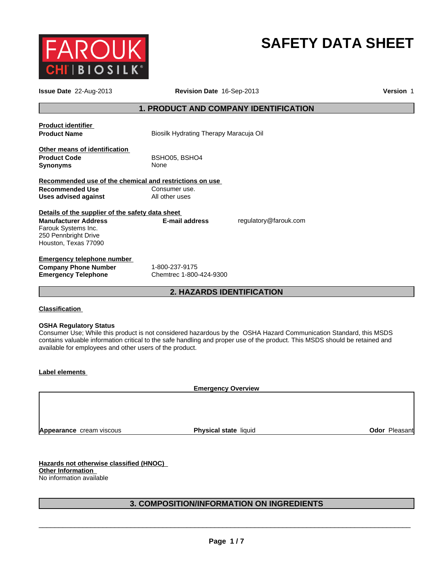

# **SAFETY DATA SHEET**

| <b>Issue Date</b> 22-Aug-2013                                                                                    | Revision Date 16-Sep-2013                    |                       | <b>Version 1</b> |
|------------------------------------------------------------------------------------------------------------------|----------------------------------------------|-----------------------|------------------|
|                                                                                                                  | <b>1. PRODUCT AND COMPANY IDENTIFICATION</b> |                       |                  |
| <b>Product identifier</b><br><b>Product Name</b>                                                                 | Biosilk Hydrating Therapy Maracuja Oil       |                       |                  |
| Other means of identification<br><b>Product Code</b><br><b>Synonyms</b>                                          | BSHO05, BSHO4<br>None                        |                       |                  |
| Recommended use of the chemical and restrictions on use<br><b>Recommended Use</b><br><b>Uses advised against</b> | Consumer use.<br>All other uses              |                       |                  |
| Details of the supplier of the safety data sheet<br><b>Manufacturer Address</b>                                  | E-mail address                               | regulatory@farouk.com |                  |
| Farouk Systems Inc.<br>250 Pennbright Drive<br>Houston, Texas 77090                                              |                                              |                       |                  |
| <b>Emergency telephone number</b>                                                                                |                                              |                       |                  |
| <b>Company Phone Number</b><br><b>Emergency Telephone</b>                                                        | 1-800-237-9175<br>Chemtrec 1-800-424-9300    |                       |                  |
|                                                                                                                  | <b>2. HAZARDS IDENTIFICATION</b>             |                       |                  |

# **Classification**

#### **OSHA Regulatory Status**

Consumer Use; While this product is not considered hazardous by the OSHA Hazard Communication Standard, this MSDS contains valuable information critical to the safe handling and proper use of the product. This MSDS should be retained and available for employees and other users of the product.

#### **Label elements**

**Emergency Overview**

**Appearance** cream viscous

**Physical state liquid Contract Contract Contract Pleasant** 

**Hazards not otherwise classified (HNOC) Other Information**  No information available

# **3. COMPOSITION/INFORMATION ON INGREDIENTS**

\_\_\_\_\_\_\_\_\_\_\_\_\_\_\_\_\_\_\_\_\_\_\_\_\_\_\_\_\_\_\_\_\_\_\_\_\_\_\_\_\_\_\_\_\_\_\_\_\_\_\_\_\_\_\_\_\_\_\_\_\_\_\_\_\_\_\_\_\_\_\_\_\_\_\_\_\_\_\_\_\_\_\_\_\_\_\_\_\_\_\_\_\_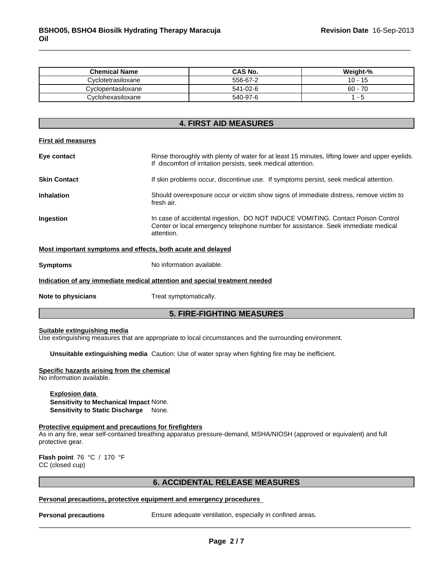| <b>Chemical Name</b> | CAS No.  | Weight-%   |
|----------------------|----------|------------|
| Cvclotetrasiloxane   | 556-67-2 | 10 -<br>10 |
| Cyclopentasiloxane   | 541-02-6 | $60 - 70$  |
| Cvclohexasiloxane    | 540-97-6 |            |

|                           | <b>4. FIRST AID MEASURES</b>                                                                                                                                                       |  |  |
|---------------------------|------------------------------------------------------------------------------------------------------------------------------------------------------------------------------------|--|--|
| <b>First aid measures</b> |                                                                                                                                                                                    |  |  |
| Eye contact               | Rinse thoroughly with plenty of water for at least 15 minutes, lifting lower and upper eyelids.<br>If discomfort of irritation persists, seek medical attention.                   |  |  |
| <b>Skin Contact</b>       | If skin problems occur, discontinue use. If symptoms persist, seek medical attention.                                                                                              |  |  |
| <b>Inhalation</b>         | Should overexposure occur or victim show signs of immediate distress, remove victim to<br>fresh air.                                                                               |  |  |
| Ingestion                 | In case of accidental ingestion, DO NOT INDUCE VOMITING. Contact Poison Control<br>Center or local emergency telephone number for assistance. Seek immediate medical<br>attention. |  |  |
|                           | Most important symptoms and effects, both acute and delayed                                                                                                                        |  |  |
| <b>Symptoms</b>           | No information available.                                                                                                                                                          |  |  |
|                           | Indication of any immediate medical attention and special treatment needed                                                                                                         |  |  |
| Note to physicians        | Treat symptomatically.                                                                                                                                                             |  |  |
|                           |                                                                                                                                                                                    |  |  |

# **5. FIRE-FIGHTING MEASURES**

#### **Suitable extinguishing media**

Use extinguishing measures that are appropriate to local circumstances and the surrounding environment.

**Unsuitable extinguishing media** Caution: Use of water spray when fighting fire may be inefficient.

# **Specific hazards arising from the chemical**

No information available.

### **Explosion data Sensitivity to Mechanical Impact** None. **Sensitivity to Static Discharge** None.

#### **Protective equipment and precautions for firefighters**

As in any fire, wear self-contained breathing apparatus pressure-demand, MSHA/NIOSH (approved or equivalent) and full protective gear.

**Flash point** 76 °C / 170 °F CC (closed cup)

#### **6. ACCIDENTAL RELEASE MEASURES**

# **Personal precautions, protective equipment and emergency procedures**<br> **Personal precautions** Ensure adequate ventilation, especially

**Personal precautions** Ensure adequate ventilation, especially in confined areas.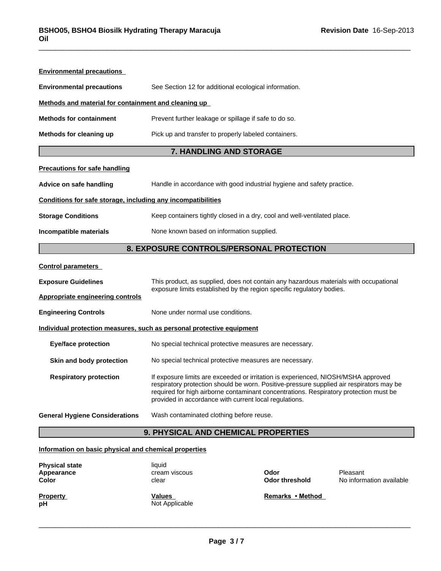| <b>Environmental precautions</b>                                      |                                                                                                                                                                                                                                                                                                                                  |  |  |  |
|-----------------------------------------------------------------------|----------------------------------------------------------------------------------------------------------------------------------------------------------------------------------------------------------------------------------------------------------------------------------------------------------------------------------|--|--|--|
| <b>Environmental precautions</b>                                      | See Section 12 for additional ecological information.                                                                                                                                                                                                                                                                            |  |  |  |
| Methods and material for containment and cleaning up                  |                                                                                                                                                                                                                                                                                                                                  |  |  |  |
| <b>Methods for containment</b>                                        | Prevent further leakage or spillage if safe to do so.                                                                                                                                                                                                                                                                            |  |  |  |
| Methods for cleaning up                                               | Pick up and transfer to properly labeled containers.                                                                                                                                                                                                                                                                             |  |  |  |
|                                                                       | <b>7. HANDLING AND STORAGE</b>                                                                                                                                                                                                                                                                                                   |  |  |  |
| <b>Precautions for safe handling</b>                                  |                                                                                                                                                                                                                                                                                                                                  |  |  |  |
| Advice on safe handling                                               | Handle in accordance with good industrial hygiene and safety practice.                                                                                                                                                                                                                                                           |  |  |  |
| Conditions for safe storage, including any incompatibilities          |                                                                                                                                                                                                                                                                                                                                  |  |  |  |
| <b>Storage Conditions</b>                                             | Keep containers tightly closed in a dry, cool and well-ventilated place.                                                                                                                                                                                                                                                         |  |  |  |
| Incompatible materials                                                | None known based on information supplied.                                                                                                                                                                                                                                                                                        |  |  |  |
| 8. EXPOSURE CONTROLS/PERSONAL PROTECTION                              |                                                                                                                                                                                                                                                                                                                                  |  |  |  |
| <b>Control parameters</b>                                             |                                                                                                                                                                                                                                                                                                                                  |  |  |  |
| <b>Exposure Guidelines</b>                                            | This product, as supplied, does not contain any hazardous materials with occupational                                                                                                                                                                                                                                            |  |  |  |
| Appropriate engineering controls                                      | exposure limits established by the region specific regulatory bodies.                                                                                                                                                                                                                                                            |  |  |  |
| <b>Engineering Controls</b>                                           | None under normal use conditions.                                                                                                                                                                                                                                                                                                |  |  |  |
| Individual protection measures, such as personal protective equipment |                                                                                                                                                                                                                                                                                                                                  |  |  |  |
| <b>Eye/face protection</b>                                            | No special technical protective measures are necessary.                                                                                                                                                                                                                                                                          |  |  |  |
| Skin and body protection                                              | No special technical protective measures are necessary.                                                                                                                                                                                                                                                                          |  |  |  |
| <b>Respiratory protection</b>                                         | If exposure limits are exceeded or irritation is experienced, NIOSH/MSHA approved<br>respiratory protection should be worn. Positive-pressure supplied air respirators may be<br>required for high airborne contaminant concentrations. Respiratory protection must be<br>provided in accordance with current local regulations. |  |  |  |
| <b>General Hygiene Considerations</b>                                 | Wash contaminated clothing before reuse.                                                                                                                                                                                                                                                                                         |  |  |  |
|                                                                       |                                                                                                                                                                                                                                                                                                                                  |  |  |  |

# **9. PHYSICAL AND CHEMICAL PROPERTIES**

# **Information on basic physical and chemical properties**

| <b>Physical state</b><br>Appearance<br><b>Color</b> | liquid<br>cream viscous<br>clear | Odor<br><b>Odor threshold</b> | Pleasant<br>No information available |
|-----------------------------------------------------|----------------------------------|-------------------------------|--------------------------------------|
| <b>Property</b><br>рH                               | <b>Values</b><br>Not Applicable  | Remarks • Method              |                                      |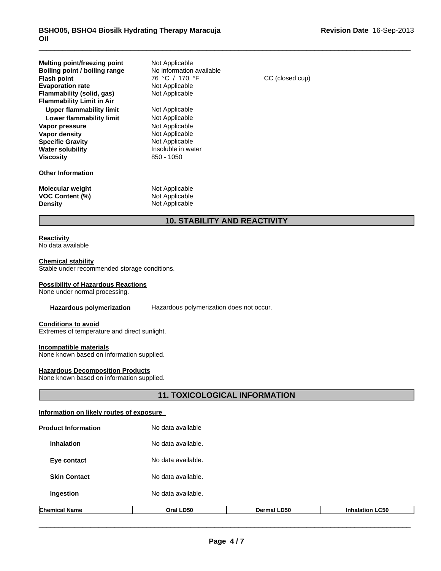| Melting point/freezing point<br>Boiling point / boiling range<br><b>Flash point</b><br><b>Evaporation rate</b><br>Flammability (solid, gas)<br><b>Flammability Limit in Air</b> | Not Applicable<br>No information available<br>76 °C / 170 °F<br>Not Applicable<br>Not Applicable                           | CC (closed cup) |
|---------------------------------------------------------------------------------------------------------------------------------------------------------------------------------|----------------------------------------------------------------------------------------------------------------------------|-----------------|
| Upper flammability limit<br>Lower flammability limit<br>Vapor pressure<br>Vapor density<br><b>Specific Gravity</b><br><b>Water solubility</b><br><b>Viscosity</b>               | Not Applicable<br>Not Applicable<br>Not Applicable<br>Not Applicable<br>Not Applicable<br>Insoluble in water<br>850 - 1050 |                 |
| <b>Other Information</b>                                                                                                                                                        |                                                                                                                            |                 |
| <b>Molecular weight</b><br><b>VOC Content (%)</b><br><b>Density</b>                                                                                                             | Not Applicable<br>Not Applicable<br>Not Applicable                                                                         |                 |

# **10. STABILITY AND REACTIVITY**

#### **Reactivity**  No data available

# **Chemical stability**

Stable under recommended storage conditions.

### **Possibility of Hazardous Reactions**

None under normal processing.

#### **Hazardous polymerization** Hazardous polymerization does not occur.

#### **Conditions to avoid**

Extremes of temperature and direct sunlight.

#### **Incompatible materials**

None known based on information supplied.

#### **Hazardous Decomposition Products**

None known based on information supplied.

# **11. TOXICOLOGICAL INFORMATION**

# **Information on likely routes of exposure**

| <b>Chemical Name</b>       | Oral LD50          | <b>Dermal LD50</b> | <b>Inhalation LC50</b> |  |
|----------------------------|--------------------|--------------------|------------------------|--|
| Ingestion                  | No data available. |                    |                        |  |
| <b>Skin Contact</b>        | No data available. |                    |                        |  |
| Eye contact                | No data available. |                    |                        |  |
| <b>Inhalation</b>          | No data available. |                    |                        |  |
| <b>Product Information</b> | No data available  |                    |                        |  |

\_\_\_\_\_\_\_\_\_\_\_\_\_\_\_\_\_\_\_\_\_\_\_\_\_\_\_\_\_\_\_\_\_\_\_\_\_\_\_\_\_\_\_\_\_\_\_\_\_\_\_\_\_\_\_\_\_\_\_\_\_\_\_\_\_\_\_\_\_\_\_\_\_\_\_\_\_\_\_\_\_\_\_\_\_\_\_\_\_\_\_\_\_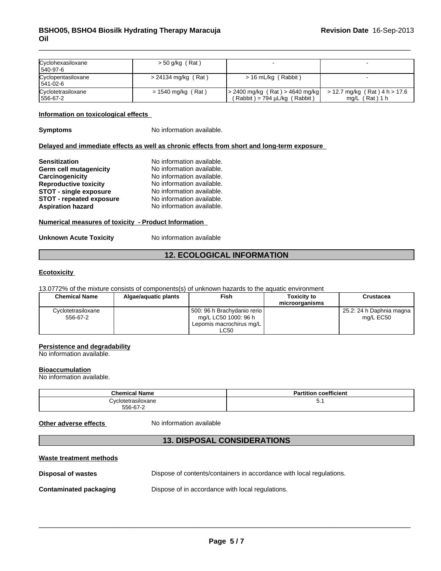| Cyclohexasiloxane<br>540-97-6  | $> 50$ g/kg (Rat)     |                                                                             |                                                        |
|--------------------------------|-----------------------|-----------------------------------------------------------------------------|--------------------------------------------------------|
| Cyclopentasiloxane<br>541-02-6 | $> 24134$ mg/kg (Rat) | > 16 mL/kg (Rabbit)                                                         |                                                        |
| Cyclotetrasiloxane<br>556-67-2 | = 1540 mg/kg (Rat)    | $  > 2400$ mg/kg (Rat) $> 4640$ mg/kg<br>$(Rabbit) = 794 \mu L/kg (Rabbit)$ | $>$ 12.7 mg/kg (Rat) 4 h $>$ 17.6<br>(Rat) 1 h<br>ma/L |

#### **Information on toxicological effects**

**Symptoms** No information available.

#### **Delayed and immediate effects as well as chronic effects from short and long-term exposure**

| <b>Sensitization</b>            | No information available. |
|---------------------------------|---------------------------|
| Germ cell mutagenicity          | No information available. |
| Carcinogenicity                 | No information available. |
| <b>Reproductive toxicity</b>    | No information available. |
| <b>STOT - single exposure</b>   | No information available. |
| <b>STOT - repeated exposure</b> | No information available. |
| <b>Aspiration hazard</b>        | No information available. |

#### **Numerical measures of toxicity - Product Information**

#### **Unknown Acute Toxicity** No information available

# **12. ECOLOGICAL INFORMATION**

#### **Ecotoxicity**

13.0772% of the mixture consists of components(s) of unknown hazards to the aquatic environment

| <b>Chemical Name</b> | Algae/aguatic plants | Fish                            | <b>Toxicity to</b> | Crustacea                |
|----------------------|----------------------|---------------------------------|--------------------|--------------------------|
|                      |                      |                                 | microorganisms     |                          |
| Cvclotetrasiloxane   |                      | l 500: 96 h Brachvdanio rerio l |                    | 25.2: 24 h Daphnia magna |
| 556-67-2             |                      | ma/L LC50 1000: 96 h            |                    | ma/L EC50                |
|                      |                      | Lepomis macrochirus mg/L        |                    |                          |
|                      |                      | LC50                            |                    |                          |

#### **Persistence and degradability**

No information available.

#### **Bioaccumulation**

No information available.

| Chemica.<br>Name                             | $\ddot{\phantom{0}}$<br>coefficient<br>-- |
|----------------------------------------------|-------------------------------------------|
| ، اص<br>fetrasiloxane<br>.<br>$556 - 67 - 7$ | ິ.                                        |

Other adverse effects **No information available** 

# **13. DISPOSAL CONSIDERATIONS**

#### **Waste treatment methods**

| <b>Disposal of wastes</b> | Dispose of contents/containers in accordance with local regulations. |
|---------------------------|----------------------------------------------------------------------|
|                           |                                                                      |

**Contaminated packaging Dispose of in accordance with local regulations.** \_\_\_\_\_\_\_\_\_\_\_\_\_\_\_\_\_\_\_\_\_\_\_\_\_\_\_\_\_\_\_\_\_\_\_\_\_\_\_\_\_\_\_\_\_\_\_\_\_\_\_\_\_\_\_\_\_\_\_\_\_\_\_\_\_\_\_\_\_\_\_\_\_\_\_\_\_\_\_\_\_\_\_\_\_\_\_\_\_\_\_\_\_ Dispose of in accordance with local regulations.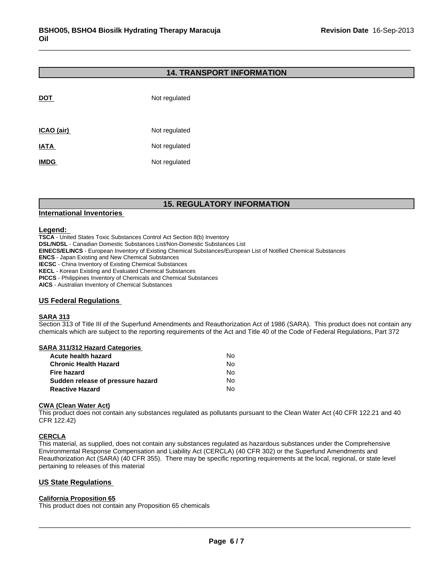## **14. TRANSPORT INFORMATION**

| <b>DOT</b>  | Not regulated |
|-------------|---------------|
| ICAO (air)  | Not regulated |
| <b>IATA</b> | Not regulated |
| <b>IMDG</b> | Not regulated |

# **15. REGULATORY INFORMATION**

### **International Inventories**

#### **Legend:**

**TSCA** - United States Toxic Substances Control Act Section 8(b) Inventory **DSL/NDSL** - Canadian Domestic Substances List/Non-Domestic Substances List **EINECS/ELINCS** - European Inventory of Existing Chemical Substances/European List of Notified Chemical Substances **ENCS** - Japan Existing and New Chemical Substances **IECSC** - China Inventory of Existing Chemical Substances **KECL** - Korean Existing and Evaluated Chemical Substances **PICCS** - Philippines Inventory of Chemicals and Chemical Substances **AICS** - Australian Inventory of Chemical Substances

### **US Federal Regulations**

#### **SARA 313**

Section 313 of Title III of the Superfund Amendments and Reauthorization Act of 1986 (SARA). This product does not contain any chemicals which are subject to the reporting requirements of the Act and Title 40 of the Code of Federal Regulations, Part 372

#### **SARA 311/312 Hazard Categories**

| Acute health hazard               | No. |
|-----------------------------------|-----|
| Chronic Health Hazard             | No. |
| Fire hazard                       | No. |
| Sudden release of pressure hazard | No. |
| <b>Reactive Hazard</b>            | N٥  |

#### **CWA (Clean Water Act)**

This product does not contain any substances regulated as pollutants pursuant to the Clean Water Act (40 CFR 122.21 and 40 CFR 122.42)

#### **CERCLA**

This material, as supplied, does not contain any substances regulated as hazardous substances under the Comprehensive Environmental Response Compensation and Liability Act (CERCLA) (40 CFR 302) or the Superfund Amendments and Reauthorization Act (SARA) (40 CFR 355). There may be specific reporting requirements at the local, regional, or state level pertaining to releases of this material

#### **California Proposition 65**

\_\_\_\_\_\_\_\_\_\_\_\_\_\_\_\_\_\_\_\_\_\_\_\_\_\_\_\_\_\_\_\_\_\_\_\_\_\_\_\_\_\_\_\_\_\_\_\_\_\_\_\_\_\_\_\_\_\_\_\_\_\_\_\_\_\_\_\_\_\_\_\_\_\_\_\_\_\_\_\_\_\_\_\_\_\_\_\_\_\_\_\_\_ **US State Regulations**  This product does not contain any Proposition 65 chemicals